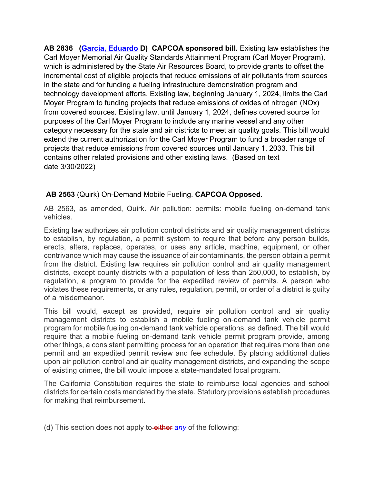**AB 2836 [\(Garcia, Eduardo](https://a56.asmdc.org/) D) CAPCOA sponsored bill.** Existing law establishes the Carl Moyer Memorial Air Quality Standards Attainment Program (Carl Moyer Program), which is administered by the State Air Resources Board, to provide grants to offset the incremental cost of eligible projects that reduce emissions of air pollutants from sources in the state and for funding a fueling infrastructure demonstration program and technology development efforts. Existing law, beginning January 1, 2024, limits the Carl Moyer Program to funding projects that reduce emissions of oxides of nitrogen (NOx) from covered sources. Existing law, until January 1, 2024, defines covered source for purposes of the Carl Moyer Program to include any marine vessel and any other category necessary for the state and air districts to meet air quality goals. This bill would extend the current authorization for the Carl Moyer Program to fund a broader range of projects that reduce emissions from covered sources until January 1, 2033. This bill contains other related provisions and other existing laws. (Based on text date 3/30/2022)

## **AB 2563** (Quirk) On-Demand Mobile Fueling. **CAPCOA Opposed.**

AB 2563, as amended, Quirk. Air pollution: permits: mobile fueling on-demand tank vehicles.

Existing law authorizes air pollution control districts and air quality management districts to establish, by regulation, a permit system to require that before any person builds, erects, alters, replaces, operates, or uses any article, machine, equipment, or other contrivance which may cause the issuance of air contaminants, the person obtain a permit from the district. Existing law requires air pollution control and air quality management districts, except county districts with a population of less than 250,000, to establish, by regulation, a program to provide for the expedited review of permits. A person who violates these requirements, or any rules, regulation, permit, or order of a district is guilty of a misdemeanor.

This bill would, except as provided, require air pollution control and air quality management districts to establish a mobile fueling on-demand tank vehicle permit program for mobile fueling on-demand tank vehicle operations, as defined. The bill would require that a mobile fueling on-demand tank vehicle permit program provide, among other things, a consistent permitting process for an operation that requires more than one permit and an expedited permit review and fee schedule. By placing additional duties upon air pollution control and air quality management districts, and expanding the scope of existing crimes, the bill would impose a state-mandated local program.

The California Constitution requires the state to reimburse local agencies and school districts for certain costs mandated by the state. Statutory provisions establish procedures for making that reimbursement.

(d) This section does not apply to either *any* of the following: